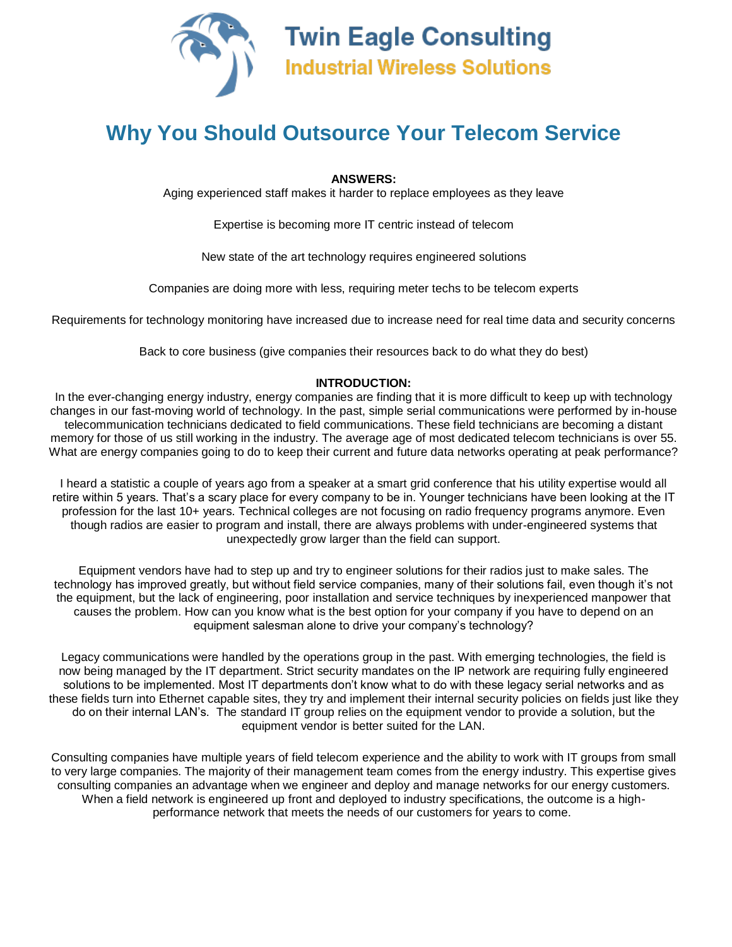

## **Why You Should Outsource Your Telecom Service**

**ANSWERS:**

Aging experienced staff makes it harder to replace employees as they leave

Expertise is becoming more IT centric instead of telecom

New state of the art technology requires engineered solutions

Companies are doing more with less, requiring meter techs to be telecom experts

Requirements for technology monitoring have increased due to increase need for real time data and security concerns

Back to core business (give companies their resources back to do what they do best)

## **INTRODUCTION:**

In the ever-changing energy industry, energy companies are finding that it is more difficult to keep up with technology changes in our fast-moving world of technology. In the past, simple serial communications were performed by in-house telecommunication technicians dedicated to field communications. These field technicians are becoming a distant memory for those of us still working in the industry. The average age of most dedicated telecom technicians is over 55. What are energy companies going to do to keep their current and future data networks operating at peak performance?

I heard a statistic a couple of years ago from a speaker at a smart grid conference that his utility expertise would all retire within 5 years. That's a scary place for every company to be in. Younger technicians have been looking at the IT profession for the last 10+ years. Technical colleges are not focusing on radio frequency programs anymore. Even though radios are easier to program and install, there are always problems with under-engineered systems that unexpectedly grow larger than the field can support.

Equipment vendors have had to step up and try to engineer solutions for their radios just to make sales. The technology has improved greatly, but without field service companies, many of their solutions fail, even though it's not the equipment, but the lack of engineering, poor installation and service techniques by inexperienced manpower that causes the problem. How can you know what is the best option for your company if you have to depend on an equipment salesman alone to drive your company's technology?

Legacy communications were handled by the operations group in the past. With emerging technologies, the field is now being managed by the IT department. Strict security mandates on the IP network are requiring fully engineered solutions to be implemented. Most IT departments don't know what to do with these legacy serial networks and as these fields turn into Ethernet capable sites, they try and implement their internal security policies on fields just like they do on their internal LAN's. The standard IT group relies on the equipment vendor to provide a solution, but the equipment vendor is better suited for the LAN.

Consulting companies have multiple years of field telecom experience and the ability to work with IT groups from small to very large companies. The majority of their management team comes from the energy industry. This expertise gives consulting companies an advantage when we engineer and deploy and manage networks for our energy customers. When a field network is engineered up front and deployed to industry specifications, the outcome is a highperformance network that meets the needs of our customers for years to come.